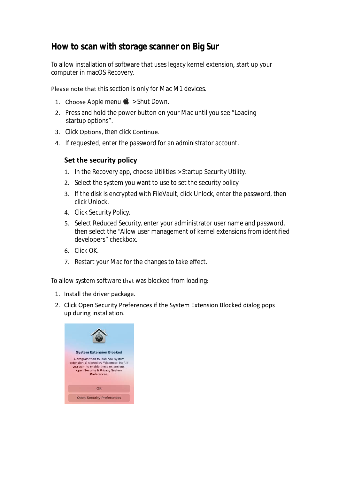## **How to scan with storage scanner on Big Sur**

To allow installation of software that uses legacy kernel extension, start up your computer in macOS Recovery.

Please note that this section is only for Mac M1 devices.

- 1. Choose Apple menu  $\bullet$  > Shut Down.
- 2. Press and hold the power button on your Mac until you see "Loading startup options".
- 3. Click Options, then click Continue.
- 4. If requested, enter the password for an administrator account.

## **Set the security policy**

- 1. In the Recovery app, choose Utilities > Startup Security Utility.
- 2. Select the system you want to use to set the security policy.
- 3. If the disk is encrypted with FileVault, click Unlock, enter the password, then click Unlock.
- 4. Click Security Policy.
- 5. Select Reduced Security, enter your administrator user name and password, then select the "Allow user management of kernel extensions from identified developers" checkbox.
- 6. Click OK.
- 7. Restart your Mac for the changes to take effect.

## To allow system software that was blocked from loading:

- 1. Install the driver package.
- 2. Click Open Security Preferences if the System Extension Blocked dialog pops up during installation.